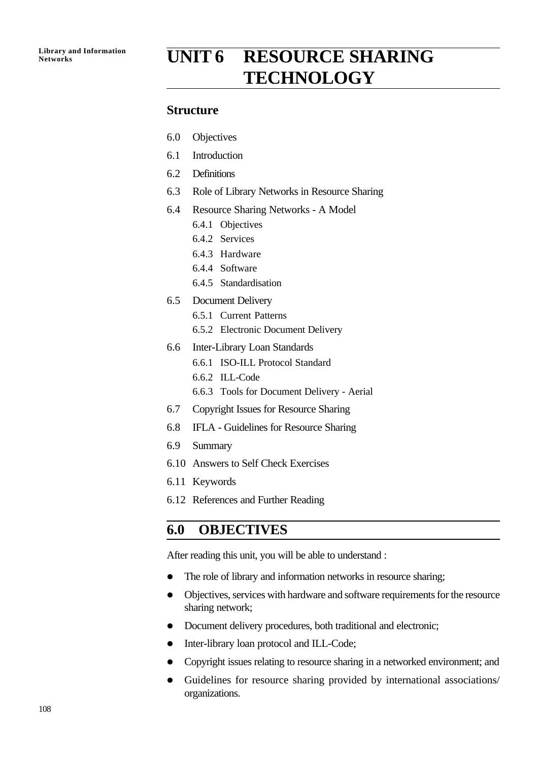# **Library and Information**<br>Networks<br>**UNIT 6 RESOURCE SHARING TECHNOLOGY**

#### **Structure**

- 6.0 Objectives
- 6.1 Introduction
- 6.2 Definitions
- 6.3 Role of Library Networks in Resource Sharing
- 6.4 Resource Sharing Networks A Model
	- 6.4.1 Objectives
	- 6.4.2 Services
	- 6.4.3 Hardware
	- 6.4.4 Software
	- 6.4.5 Standardisation
- 6.5 Document Delivery
	- 6.5.1 Current Patterns
	- 6.5.2 Electronic Document Delivery
- 6.6 Inter-Library Loan Standards
	- 6.6.1 ISO-ILL Protocol Standard
	- 6.6.2 ILL-Code
	- 6.6.3 Tools for Document Delivery Aerial
- 6.7 Copyright Issues for Resource Sharing
- 6.8 IFLA Guidelines for Resource Sharing
- 6.9 Summary
- 6.10 Answers to Self Check Exercises
- 6.11 Keywords
- 6.12 References and Further Reading

## **6.0 OBJECTIVES**

After reading this unit, you will be able to understand :

- The role of library and information networks in resource sharing;
- Objectives, services with hardware and software requirements for the resource sharing network;
- Document delivery procedures, both traditional and electronic;
- Inter-library loan protocol and ILL-Code;
- Copyright issues relating to resource sharing in a networked environment; and
- Guidelines for resource sharing provided by international associations/ organizations.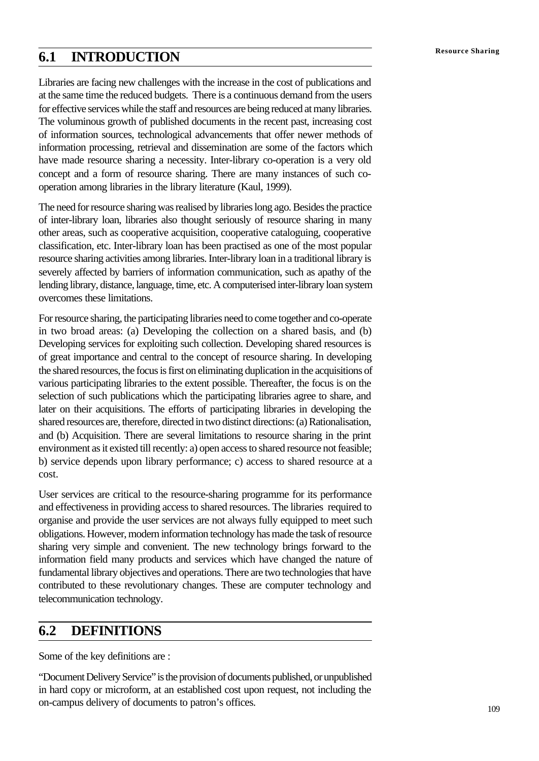Libraries are facing new challenges with the increase in the cost of publications and at the same time the reduced budgets. There is a continuous demand from the users for effective services while the staff and resources are being reduced at many libraries. The voluminous growth of published documents in the recent past, increasing cost of information sources, technological advancements that offer newer methods of information processing, retrieval and dissemination are some of the factors which have made resource sharing a necessity. Inter-library co-operation is a very old concept and a form of resource sharing. There are many instances of such cooperation among libraries in the library literature (Kaul, 1999).

The need for resource sharing was realised by libraries long ago. Besides the practice of inter-library loan, libraries also thought seriously of resource sharing in many other areas, such as cooperative acquisition, cooperative cataloguing, cooperative classification, etc. Inter-library loan has been practised as one of the most popular resource sharing activities among libraries. Inter-library loan in a traditional library is severely affected by barriers of information communication, such as apathy of the lending library, distance, language, time, etc. A computerised inter-library loan system overcomes these limitations.

For resource sharing, the participating libraries need to come together and co-operate in two broad areas: (a) Developing the collection on a shared basis, and (b) Developing services for exploiting such collection. Developing shared resources is of great importance and central to the concept of resource sharing. In developing the shared resources, the focus is first on eliminating duplication in the acquisitions of various participating libraries to the extent possible. Thereafter, the focus is on the selection of such publications which the participating libraries agree to share, and later on their acquisitions. The efforts of participating libraries in developing the shared resources are, therefore, directed in two distinct directions: (a) Rationalisation, and (b) Acquisition. There are several limitations to resource sharing in the print environment as it existed till recently: a) open access to shared resource not feasible; b) service depends upon library performance; c) access to shared resource at a cost.

User services are critical to the resource-sharing programme for its performance and effectiveness in providing access to shared resources. The libraries required to organise and provide the user services are not always fully equipped to meet such obligations. However, modern information technology has made the task of resource sharing very simple and convenient. The new technology brings forward to the information field many products and services which have changed the nature of fundamental library objectives and operations. There are two technologies that have contributed to these revolutionary changes. These are computer technology and telecommunication technology.

## **6.2 DEFINITIONS**

Some of the key definitions are :

"Document Delivery Service" is the provision of documents published, or unpublished in hard copy or microform, at an established cost upon request, not including the on-campus delivery of documents to patron's offices.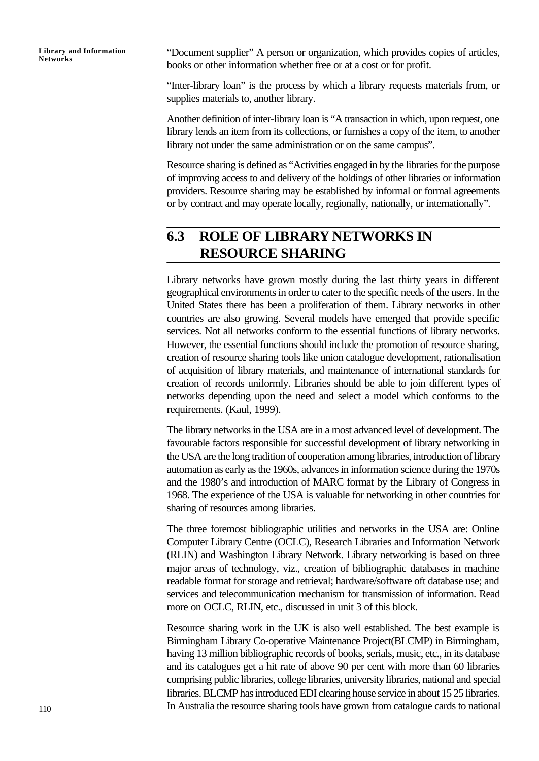"Document supplier" A person or organization, which provides copies of articles, books or other information whether free or at a cost or for profit.

"Inter-library loan" is the process by which a library requests materials from, or supplies materials to, another library.

Another definition of inter-library loan is "A transaction in which, upon request, one library lends an item from its collections, or furnishes a copy of the item, to another library not under the same administration or on the same campus".

Resource sharing is defined as "Activities engaged in by the libraries for the purpose of improving access to and delivery of the holdings of other libraries or information providers. Resource sharing may be established by informal or formal agreements or by contract and may operate locally, regionally, nationally, or internationally".

## **6.3 ROLE OF LIBRARY NETWORKS IN RESOURCE SHARING**

Library networks have grown mostly during the last thirty years in different geographical environments in order to cater to the specific needs of the users. In the United States there has been a proliferation of them. Library networks in other countries are also growing. Several models have emerged that provide specific services. Not all networks conform to the essential functions of library networks. However, the essential functions should include the promotion of resource sharing, creation of resource sharing tools like union catalogue development, rationalisation of acquisition of library materials, and maintenance of international standards for creation of records uniformly. Libraries should be able to join different types of networks depending upon the need and select a model which conforms to the requirements. (Kaul, 1999).

The library networks in the USA are in a most advanced level of development. The favourable factors responsible for successful development of library networking in the USA are the long tradition of cooperation among libraries, introduction of library automation as early as the 1960s, advances in information science during the 1970s and the 1980's and introduction of MARC format by the Library of Congress in 1968. The experience of the USA is valuable for networking in other countries for sharing of resources among libraries.

The three foremost bibliographic utilities and networks in the USA are: Online Computer Library Centre (OCLC), Research Libraries and Information Network (RLIN) and Washington Library Network. Library networking is based on three major areas of technology, viz., creation of bibliographic databases in machine readable format for storage and retrieval; hardware/software oft database use; and services and telecommunication mechanism for transmission of information. Read more on OCLC, RLIN, etc., discussed in unit 3 of this block.

Resource sharing work in the UK is also well established. The best example is Birmingham Library Co-operative Maintenance Project(BLCMP) in Birmingham, having 13 million bibliographic records of books, serials, music, etc., in its database and its catalogues get a hit rate of above 90 per cent with more than 60 libraries comprising public libraries, college libraries, university libraries, national and special libraries. BLCMP has introduced EDI clearing house service in about 15 25 libraries. In Australia the resource sharing tools have grown from catalogue cards to national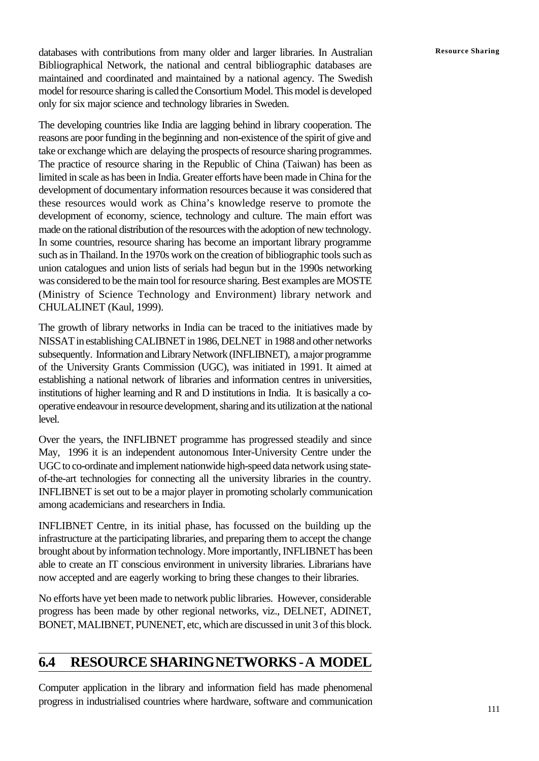databases with contributions from many older and larger libraries. In Australian **Resource Sharing** Bibliographical Network, the national and central bibliographic databases are maintained and coordinated and maintained by a national agency. The Swedish model for resource sharing is called the Consortium Model. This model is developed only for six major science and technology libraries in Sweden.

The developing countries like India are lagging behind in library cooperation. The reasons are poor funding in the beginning and non-existence of the spirit of give and take or exchange which are delaying the prospects of resource sharing programmes. The practice of resource sharing in the Republic of China (Taiwan) has been as limited in scale as has been in India. Greater efforts have been made in China for the development of documentary information resources because it was considered that these resources would work as China's knowledge reserve to promote the development of economy, science, technology and culture. The main effort was made on the rational distribution of the resources with the adoption of new technology. In some countries, resource sharing has become an important library programme such as in Thailand. In the 1970s work on the creation of bibliographic tools such as union catalogues and union lists of serials had begun but in the 1990s networking was considered to be the main tool for resource sharing. Best examples are MOSTE (Ministry of Science Technology and Environment) library network and CHULALINET (Kaul, 1999).

The growth of library networks in India can be traced to the initiatives made by NISSAT in establishing CALIBNET in 1986, DELNET in 1988 and other networks subsequently. Information and Library Network (INFLIBNET), a major programme of the University Grants Commission (UGC), was initiated in 1991. It aimed at establishing a national network of libraries and information centres in universities, institutions of higher learning and R and D institutions in India. It is basically a cooperative endeavour in resource development, sharing and its utilization at the national level.

Over the years, the INFLIBNET programme has progressed steadily and since May, 1996 it is an independent autonomous Inter-University Centre under the UGC to co-ordinate and implement nationwide high-speed data network using stateof-the-art technologies for connecting all the university libraries in the country. INFLIBNET is set out to be a major player in promoting scholarly communication among academicians and researchers in India.

INFLIBNET Centre, in its initial phase, has focussed on the building up the infrastructure at the participating libraries, and preparing them to accept the change brought about by information technology. More importantly, INFLIBNET has been able to create an IT conscious environment in university libraries. Librarians have now accepted and are eagerly working to bring these changes to their libraries.

No efforts have yet been made to network public libraries. However, considerable progress has been made by other regional networks, viz., DELNET, ADINET, BONET, MALIBNET, PUNENET, etc, which are discussed in unit 3 of this block.

## **6.4 RESOURCE SHARING NETWORKS - A MODEL**

Computer application in the library and information field has made phenomenal progress in industrialised countries where hardware, software and communication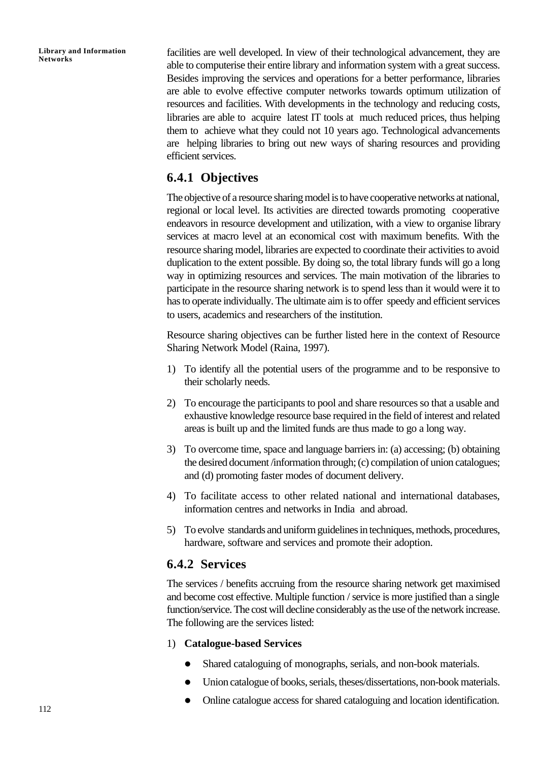facilities are well developed. In view of their technological advancement, they are able to computerise their entire library and information system with a great success. Besides improving the services and operations for a better performance, libraries are able to evolve effective computer networks towards optimum utilization of resources and facilities. With developments in the technology and reducing costs, libraries are able to acquire latest IT tools at much reduced prices, thus helping them to achieve what they could not 10 years ago. Technological advancements are helping libraries to bring out new ways of sharing resources and providing efficient services.

## **6.4.1 Objectives**

The objective of a resource sharing model is to have cooperative networks at national, regional or local level. Its activities are directed towards promoting cooperative endeavors in resource development and utilization, with a view to organise library services at macro level at an economical cost with maximum benefits. With the resource sharing model, libraries are expected to coordinate their activities to avoid duplication to the extent possible. By doing so, the total library funds will go a long way in optimizing resources and services. The main motivation of the libraries to participate in the resource sharing network is to spend less than it would were it to has to operate individually. The ultimate aim is to offer speedy and efficient services to users, academics and researchers of the institution.

Resource sharing objectives can be further listed here in the context of Resource Sharing Network Model (Raina, 1997).

- 1) To identify all the potential users of the programme and to be responsive to their scholarly needs.
- 2) To encourage the participants to pool and share resources so that a usable and exhaustive knowledge resource base required in the field of interest and related areas is built up and the limited funds are thus made to go a long way.
- 3) To overcome time, space and language barriers in: (a) accessing; (b) obtaining the desired document /information through; (c) compilation of union catalogues; and (d) promoting faster modes of document delivery.
- 4) To facilitate access to other related national and international databases, information centres and networks in India and abroad.
- 5) To evolve standards and uniform guidelines in techniques, methods, procedures, hardware, software and services and promote their adoption.

### **6.4.2 Services**

The services / benefits accruing from the resource sharing network get maximised and become cost effective. Multiple function / service is more justified than a single function/service. The cost will decline considerably as the use of the network increase. The following are the services listed:

#### 1) **Catalogue-based Services**

- Shared cataloguing of monographs, serials, and non-book materials.
- l Union catalogue of books, serials, theses/dissertations, non-book materials.
- l Online catalogue access for shared cataloguing and location identification.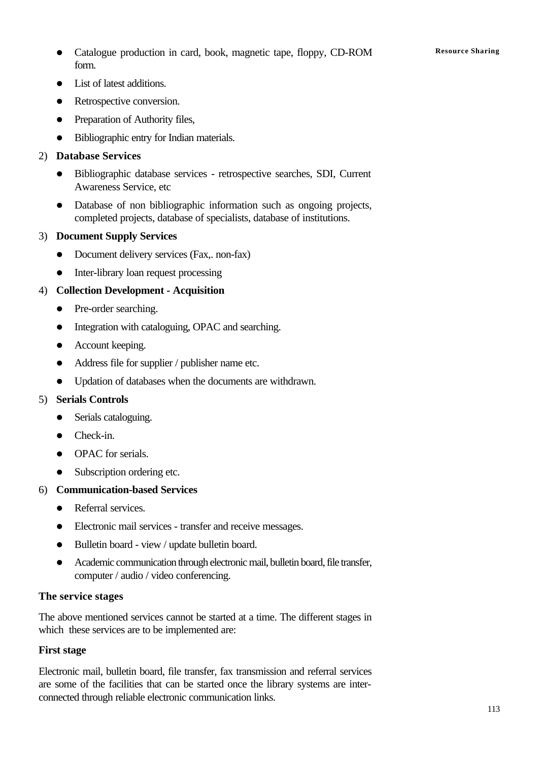Catalogue production in card, book, magnetic tape, floppy, CD-ROM **Resource Sharing** form.

- List of latest additions.
- Retrospective conversion.
- Preparation of Authority files,
- Bibliographic entry for Indian materials.

#### 2) **Database Services**

- l Bibliographic database services retrospective searches, SDI, Current Awareness Service, etc
- Database of non bibliographic information such as ongoing projects, completed projects, database of specialists, database of institutions.

#### 3) **Document Supply Services**

- Document delivery services (Fax,. non-fax)
- Inter-library loan request processing

#### 4) **Collection Development - Acquisition**

- Pre-order searching.
- Integration with cataloguing, OPAC and searching.
- Account keeping.
- Address file for supplier / publisher name etc.
- Updation of databases when the documents are withdrawn.

#### 5) **Serials Controls**

- Serials cataloguing.
- $\bullet$  Check-in.
- OPAC for serials.
- Subscription ordering etc.

#### 6) **Communication-based Services**

- Referral services.
- Electronic mail services transfer and receive messages.
- Bulletin board view / update bulletin board.
- Academic communication through electronic mail, bulletin board, file transfer, computer / audio / video conferencing.

#### **The service stages**

The above mentioned services cannot be started at a time. The different stages in which these services are to be implemented are:

#### **First stage**

Electronic mail, bulletin board, file transfer, fax transmission and referral services are some of the facilities that can be started once the library systems are interconnected through reliable electronic communication links.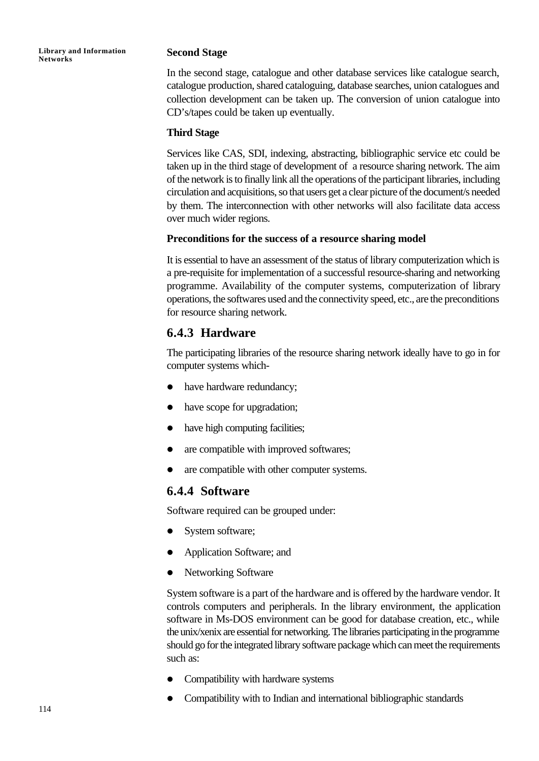#### **Second Stage**

In the second stage, catalogue and other database services like catalogue search, catalogue production, shared cataloguing, database searches, union catalogues and collection development can be taken up. The conversion of union catalogue into CD's/tapes could be taken up eventually.

#### **Third Stage**

Services like CAS, SDI, indexing, abstracting, bibliographic service etc could be taken up in the third stage of development of a resource sharing network. The aim of the network is to finally link all the operations of the participant libraries, including circulation and acquisitions, so that users get a clear picture of the document/s needed by them. The interconnection with other networks will also facilitate data access over much wider regions.

#### **Preconditions for the success of a resource sharing model**

It is essential to have an assessment of the status of library computerization which is a pre-requisite for implementation of a successful resource-sharing and networking programme. Availability of the computer systems, computerization of library operations, the softwares used and the connectivity speed, etc., are the preconditions for resource sharing network.

## **6.4.3 Hardware**

The participating libraries of the resource sharing network ideally have to go in for computer systems which-

- have hardware redundancy;
- have scope for upgradation;
- $\bullet$  have high computing facilities;
- are compatible with improved softwares;
- are compatible with other computer systems.

### **6.4.4 Software**

Software required can be grouped under:

- System software;
- Application Software; and
- Networking Software

System software is a part of the hardware and is offered by the hardware vendor. It controls computers and peripherals. In the library environment, the application software in Ms-DOS environment can be good for database creation, etc., while the unix/xenix are essential for networking. The libraries participating in the programme should go for the integrated library software package which can meet the requirements such as:

- Compatibility with hardware systems
- Compatibility with to Indian and international bibliographic standards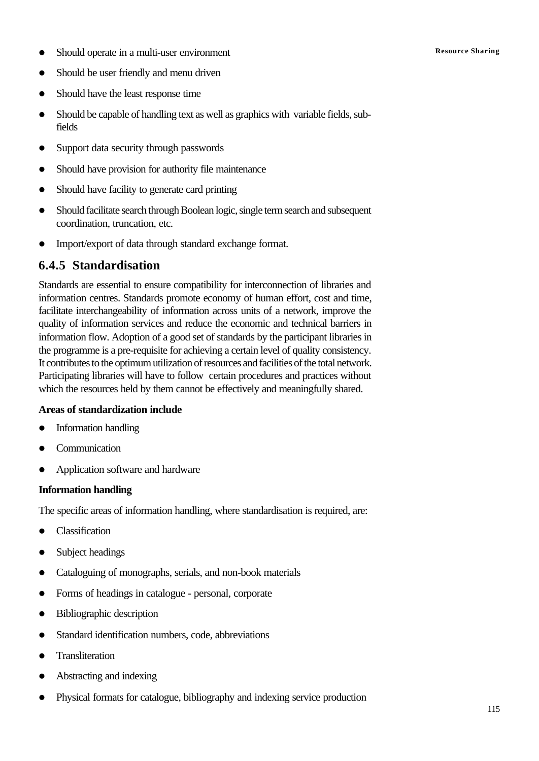- **•** Should operate in a multi-user environment **Resource Sharing** Resource Sharing
- Should be user friendly and menu driven
- Should have the least response time
- Should be capable of handling text as well as graphics with variable fields, subfields
- Support data security through passwords
- Should have provision for authority file maintenance
- Should have facility to generate card printing
- Should facilitate search through Boolean logic, single term search and subsequent coordination, truncation, etc.
- Import/export of data through standard exchange format.

### **6.4.5 Standardisation**

Standards are essential to ensure compatibility for interconnection of libraries and information centres. Standards promote economy of human effort, cost and time, facilitate interchangeability of information across units of a network, improve the quality of information services and reduce the economic and technical barriers in information flow. Adoption of a good set of standards by the participant libraries in the programme is a pre-requisite for achieving a certain level of quality consistency. It contributes to the optimum utilization of resources and facilities of the total network. Participating libraries will have to follow certain procedures and practices without which the resources held by them cannot be effectively and meaningfully shared.

#### **Areas of standardization include**

- Information handling
- **Communication**
- l Application software and hardware

#### **Information handling**

The specific areas of information handling, where standardisation is required, are:

- $\bullet$  Classification
- Subject headings
- Cataloguing of monographs, serials, and non-book materials
- Forms of headings in catalogue personal, corporate
- $\bullet$  Bibliographic description
- Standard identification numbers, code, abbreviations
- Transliteration
- Abstracting and indexing
- l Physical formats for catalogue, bibliography and indexing service production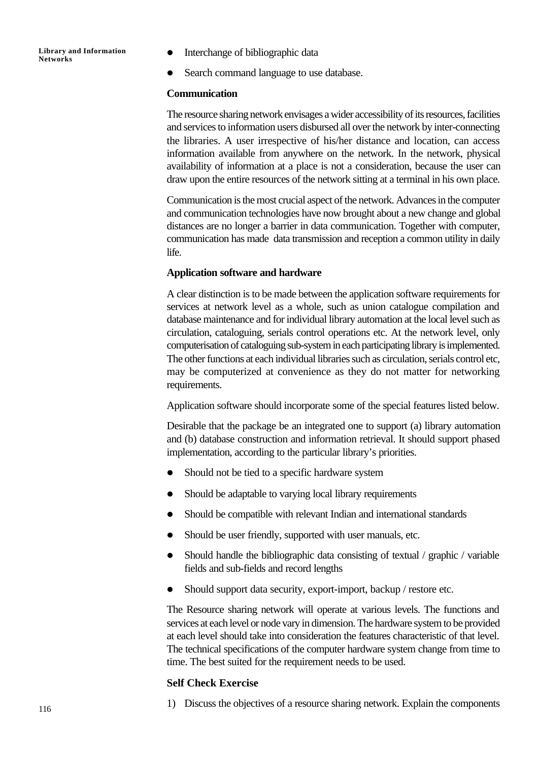- l Interchange of bibliographic data
- Search command language to use database.

#### **Communication**

The resource sharing network envisages a wider accessibility of its resources, facilities and services to information users disbursed all over the network by inter-connecting the libraries. A user irrespective of his/her distance and location, can access information available from anywhere on the network. In the network, physical availability of information at a place is not a consideration, because the user can draw upon the entire resources of the network sitting at a terminal in his own place.

Communication is the most crucial aspect of the network. Advances in the computer and communication technologies have now brought about a new change and global distances are no longer a barrier in data communication. Together with computer, communication has made data transmission and reception a common utility in daily life.

#### **Application software and hardware**

A clear distinction is to be made between the application software requirements for services at network level as a whole, such as union catalogue compilation and database maintenance and for individual library automation at the local level such as circulation, cataloguing, serials control operations etc. At the network level, only computerisation of cataloguing sub-system in each participating library is implemented. The other functions at each individual libraries such as circulation, serials control etc, may be computerized at convenience as they do not matter for networking requirements.

Application software should incorporate some of the special features listed below.

Desirable that the package be an integrated one to support (a) library automation and (b) database construction and information retrieval. It should support phased implementation, according to the particular library's priorities.

- Should not be tied to a specific hardware system
- Should be adaptable to varying local library requirements
- Should be compatible with relevant Indian and international standards
- Should be user friendly, supported with user manuals, etc.
- $\bullet$  Should handle the bibliographic data consisting of textual / graphic / variable fields and sub-fields and record lengths
- Should support data security, export-import, backup / restore etc.

The Resource sharing network will operate at various levels. The functions and services at each level or node vary in dimension. The hardware system to be provided at each level should take into consideration the features characteristic of that level. The technical specifications of the computer hardware system change from time to time. The best suited for the requirement needs to be used.

#### **Self Check Exercise**

1) Discuss the objectives of a resource sharing network. Explain the components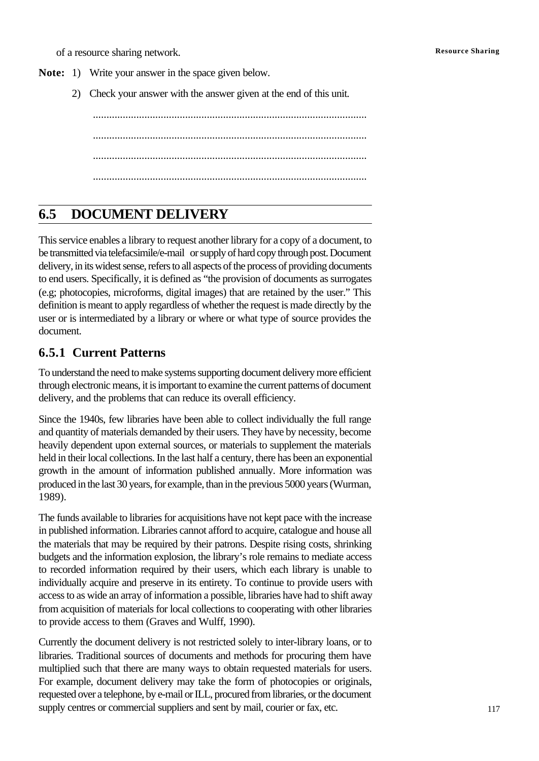of a resource sharing network. **Resource Sharing**

- **Note:** 1) Write your answer in the space given below.
	- 2) Check your answer with the answer given at the end of this unit.

..................................................................................................... ..................................................................................................... ..................................................................................................... .....................................................................................................

## **6.5 DOCUMENT DELIVERY**

This service enables a library to request another library for a copy of a document, to be transmitted via telefacsimile/e-mail or supply of hard copy through post. Document delivery, in its widest sense, refers to all aspects of the process of providing documents to end users. Specifically, it is defined as "the provision of documents as surrogates (e.g; photocopies, microforms, digital images) that are retained by the user." This definition is meant to apply regardless of whether the request is made directly by the user or is intermediated by a library or where or what type of source provides the document.

### **6.5.1 Current Patterns**

To understand the need to make systems supporting document delivery more efficient through electronic means, it is important to examine the current patterns of document delivery, and the problems that can reduce its overall efficiency.

Since the 1940s, few libraries have been able to collect individually the full range and quantity of materials demanded by their users. They have by necessity, become heavily dependent upon external sources, or materials to supplement the materials held in their local collections. In the last half a century, there has been an exponential growth in the amount of information published annually. More information was produced in the last 30 years, for example, than in the previous 5000 years (Wurman, 1989).

The funds available to libraries for acquisitions have not kept pace with the increase in published information. Libraries cannot afford to acquire, catalogue and house all the materials that may be required by their patrons. Despite rising costs, shrinking budgets and the information explosion, the library's role remains to mediate access to recorded information required by their users, which each library is unable to individually acquire and preserve in its entirety. To continue to provide users with access to as wide an array of information a possible, libraries have had to shift away from acquisition of materials for local collections to cooperating with other libraries to provide access to them (Graves and Wulff, 1990).

Currently the document delivery is not restricted solely to inter-library loans, or to libraries. Traditional sources of documents and methods for procuring them have multiplied such that there are many ways to obtain requested materials for users. For example, document delivery may take the form of photocopies or originals, requested over a telephone, by e-mail or ILL, procured from libraries, or the document supply centres or commercial suppliers and sent by mail, courier or fax, etc.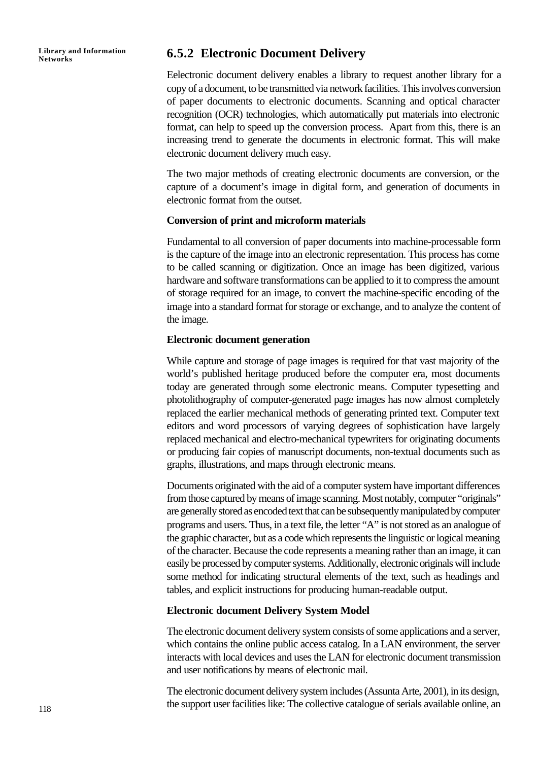**Library and Information**

### **Networks 6.5.2 Electronic Document Delivery**

Eelectronic document delivery enables a library to request another library for a copy of a document, to be transmitted via network facilities. This involves conversion of paper documents to electronic documents. Scanning and optical character recognition (OCR) technologies, which automatically put materials into electronic format, can help to speed up the conversion process. Apart from this, there is an increasing trend to generate the documents in electronic format. This will make electronic document delivery much easy.

The two major methods of creating electronic documents are conversion, or the capture of a document's image in digital form, and generation of documents in electronic format from the outset.

#### **Conversion of print and microform materials**

Fundamental to all conversion of paper documents into machine-processable form is the capture of the image into an electronic representation. This process has come to be called scanning or digitization. Once an image has been digitized, various hardware and software transformations can be applied to it to compress the amount of storage required for an image, to convert the machine-specific encoding of the image into a standard format for storage or exchange, and to analyze the content of the image.

#### **Electronic document generation**

While capture and storage of page images is required for that vast majority of the world's published heritage produced before the computer era, most documents today are generated through some electronic means. Computer typesetting and photolithography of computer-generated page images has now almost completely replaced the earlier mechanical methods of generating printed text. Computer text editors and word processors of varying degrees of sophistication have largely replaced mechanical and electro-mechanical typewriters for originating documents or producing fair copies of manuscript documents, non-textual documents such as graphs, illustrations, and maps through electronic means.

Documents originated with the aid of a computer system have important differences from those captured by means of image scanning. Most notably, computer "originals" are generally stored as encoded text that can be subsequently manipulated by computer programs and users. Thus, in a text file, the letter "A" is not stored as an analogue of the graphic character, but as a code which represents the linguistic or logical meaning of the character. Because the code represents a meaning rather than an image, it can easily be processed by computer systems. Additionally, electronic originals will include some method for indicating structural elements of the text, such as headings and tables, and explicit instructions for producing human-readable output.

#### **Electronic document Delivery System Model**

The electronic document delivery system consists of some applications and a server, which contains the online public access catalog. In a LAN environment, the server interacts with local devices and uses the LAN for electronic document transmission and user notifications by means of electronic mail.

The electronic document delivery system includes (Assunta Arte, 2001), in its design, the support user facilities like: The collective catalogue of serials available online, an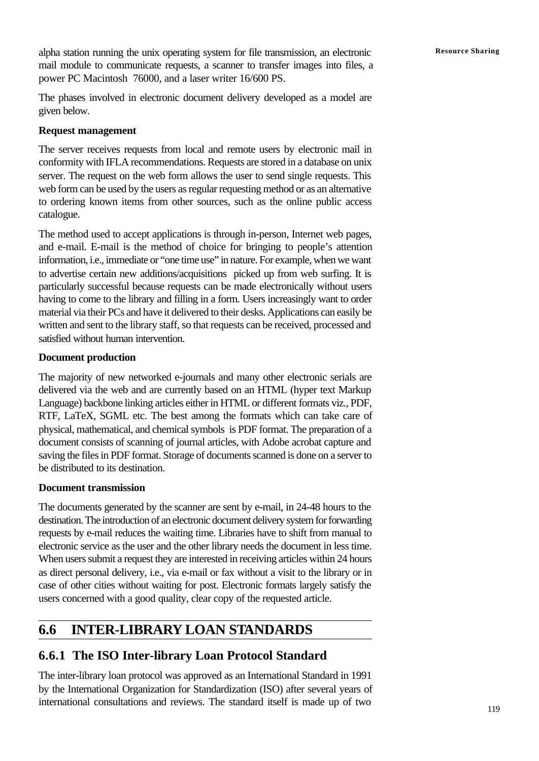alpha station running the unix operating system for file transmission, an electronic Resource Sharing mail module to communicate requests, a scanner to transfer images into files, a power PC Macintosh 76000, and a laser writer 16/600 PS.

The phases involved in electronic document delivery developed as a model are given below.

#### **Request management**

The server receives requests from local and remote users by electronic mail in conformity with IFLA recommendations. Requests are stored in a database on unix server. The request on the web form allows the user to send single requests. This web form can be used by the users as regular requesting method or as an alternative to ordering known items from other sources, such as the online public access catalogue.

The method used to accept applications is through in-person, Internet web pages, and e-mail. E-mail is the method of choice for bringing to people's attention information, i.e., immediate or "one time use" in nature. For example, when we want to advertise certain new additions/acquisitions picked up from web surfing. It is particularly successful because requests can be made electronically without users having to come to the library and filling in a form. Users increasingly want to order material via their PCs and have it delivered to their desks. Applications can easily be written and sent to the library staff, so that requests can be received, processed and satisfied without human intervention.

#### **Document production**

The majority of new networked e-journals and many other electronic serials are delivered via the web and are currently based on an HTML (hyper text Markup Language) backbone linking articles either in HTML or different formats viz., PDF, RTF, LaTeX, SGML etc. The best among the formats which can take care of physical, mathematical, and chemical symbols is PDF format. The preparation of a document consists of scanning of journal articles, with Adobe acrobat capture and saving the files in PDF format. Storage of documents scanned is done on a server to be distributed to its destination.

#### **Document transmission**

The documents generated by the scanner are sent by e-mail, in 24-48 hours to the destination. The introduction of an electronic document delivery system for forwarding requests by e-mail reduces the waiting time. Libraries have to shift from manual to electronic service as the user and the other library needs the document in less time. When users submit a request they are interested in receiving articles within 24 hours as direct personal delivery, i.e., via e-mail or fax without a visit to the library or in case of other cities without waiting for post. Electronic formats largely satisfy the users concerned with a good quality, clear copy of the requested article.

## **6.6 INTER-LIBRARY LOAN STANDARDS**

## **6.6.1 The ISO Inter-library Loan Protocol Standard**

The inter-library loan protocol was approved as an International Standard in 1991 by the International Organization for Standardization (ISO) after several years of international consultations and reviews. The standard itself is made up of two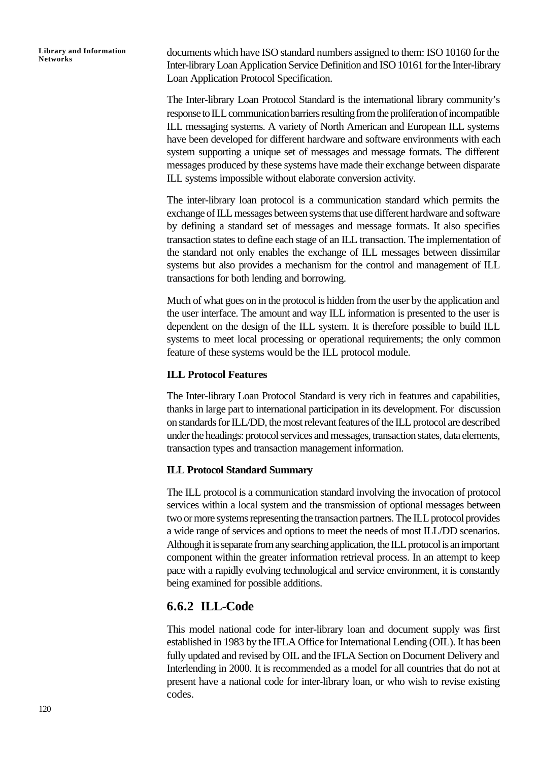documents which have ISO standard numbers assigned to them: ISO 10160 for the Inter-library Loan Application Service Definition and ISO 10161 for the Inter-library Loan Application Protocol Specification.

The Inter-library Loan Protocol Standard is the international library community's response to ILL communication barriers resulting from the proliferation of incompatible ILL messaging systems. A variety of North American and European ILL systems have been developed for different hardware and software environments with each system supporting a unique set of messages and message formats. The different messages produced by these systems have made their exchange between disparate ILL systems impossible without elaborate conversion activity.

The inter-library loan protocol is a communication standard which permits the exchange of ILL messages between systems that use different hardware and software by defining a standard set of messages and message formats. It also specifies transaction states to define each stage of an ILL transaction. The implementation of the standard not only enables the exchange of ILL messages between dissimilar systems but also provides a mechanism for the control and management of ILL transactions for both lending and borrowing.

Much of what goes on in the protocol is hidden from the user by the application and the user interface. The amount and way ILL information is presented to the user is dependent on the design of the ILL system. It is therefore possible to build ILL systems to meet local processing or operational requirements; the only common feature of these systems would be the ILL protocol module.

#### **ILL Protocol Features**

The Inter-library Loan Protocol Standard is very rich in features and capabilities, thanks in large part to international participation in its development. For discussion on standards for ILL/DD, the most relevant features of the ILL protocol are described under the headings: protocol services and messages, transaction states, data elements, transaction types and transaction management information.

#### **ILL Protocol Standard Summary**

The ILL protocol is a communication standard involving the invocation of protocol services within a local system and the transmission of optional messages between two or more systems representing the transaction partners. The ILL protocol provides a wide range of services and options to meet the needs of most ILL/DD scenarios. Although it is separate from any searching application, the ILL protocol is an important component within the greater information retrieval process. In an attempt to keep pace with a rapidly evolving technological and service environment, it is constantly being examined for possible additions.

### **6.6.2 ILL-Code**

This model national code for inter-library loan and document supply was first established in 1983 by the IFLA Office for International Lending (OIL). It has been fully updated and revised by OIL and the IFLA Section on Document Delivery and Interlending in 2000. It is recommended as a model for all countries that do not at present have a national code for inter-library loan, or who wish to revise existing codes.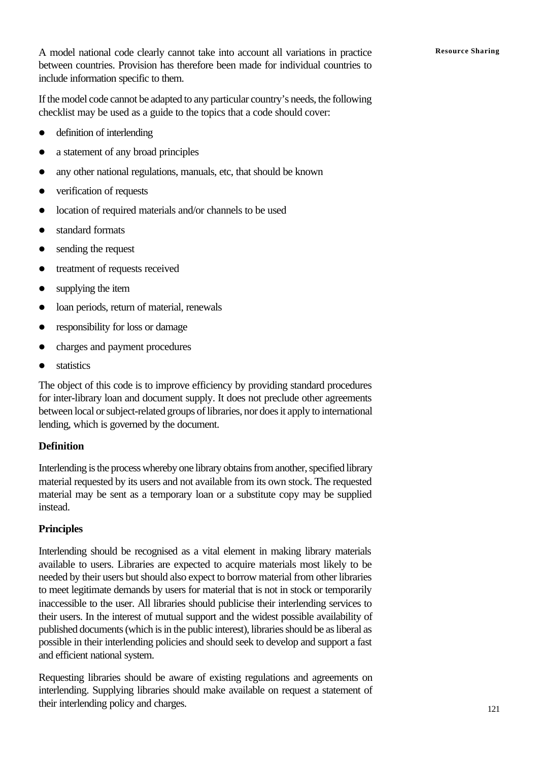If the model code cannot be adapted to any particular country's needs, the following checklist may be used as a guide to the topics that a code should cover:

- $\bullet$  definition of interlending
- a statement of any broad principles
- any other national regulations, manuals, etc, that should be known
- verification of requests
- location of required materials and/or channels to be used
- standard formats
- $\bullet$  sending the request
- treatment of requests received
- $\bullet$  supplying the item
- loan periods, return of material, renewals
- responsibility for loss or damage
- charges and payment procedures
- statistics

The object of this code is to improve efficiency by providing standard procedures for inter-library loan and document supply. It does not preclude other agreements between local or subject-related groups of libraries, nor does it apply to international lending, which is governed by the document.

### **Definition**

Interlending is the process whereby one library obtains from another, specified library material requested by its users and not available from its own stock. The requested material may be sent as a temporary loan or a substitute copy may be supplied instead.

### **Principles**

Interlending should be recognised as a vital element in making library materials available to users. Libraries are expected to acquire materials most likely to be needed by their users but should also expect to borrow material from other libraries to meet legitimate demands by users for material that is not in stock or temporarily inaccessible to the user. All libraries should publicise their interlending services to their users. In the interest of mutual support and the widest possible availability of published documents (which is in the public interest), libraries should be as liberal as possible in their interlending policies and should seek to develop and support a fast and efficient national system.

Requesting libraries should be aware of existing regulations and agreements on interlending. Supplying libraries should make available on request a statement of their interlending policy and charges.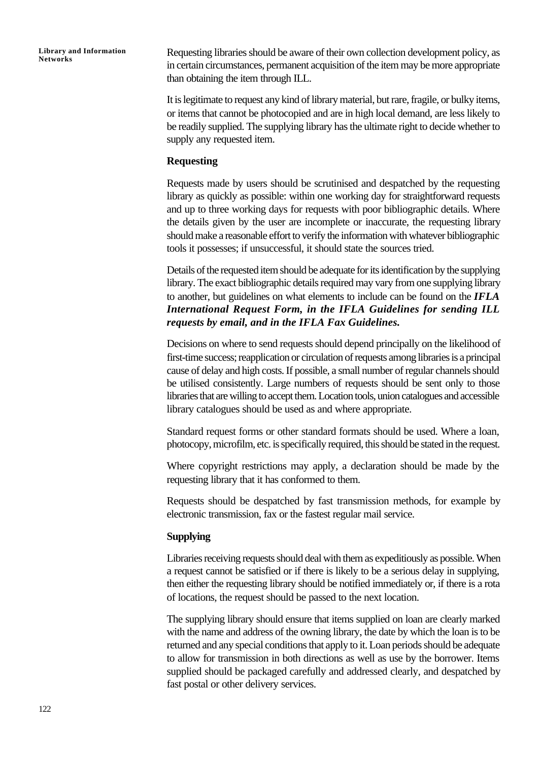Requesting libraries should be aware of their own collection development policy, as in certain circumstances, permanent acquisition of the item may be more appropriate than obtaining the item through ILL.

It is legitimate to request any kind of library material, but rare, fragile, or bulky items, or items that cannot be photocopied and are in high local demand, are less likely to be readily supplied. The supplying library has the ultimate right to decide whether to supply any requested item.

#### **Requesting**

Requests made by users should be scrutinised and despatched by the requesting library as quickly as possible: within one working day for straightforward requests and up to three working days for requests with poor bibliographic details. Where the details given by the user are incomplete or inaccurate, the requesting library should make a reasonable effort to verify the information with whatever bibliographic tools it possesses; if unsuccessful, it should state the sources tried.

Details of the requested item should be adequate for its identification by the supplying library. The exact bibliographic details required may vary from one supplying library to another, but guidelines on what elements to include can be found on the *IFLA International Request Form, in the IFLA Guidelines for sending ILL requests by email, and in the IFLA Fax Guidelines.*

Decisions on where to send requests should depend principally on the likelihood of first-time success; reapplication or circulation of requests among libraries is a principal cause of delay and high costs. If possible, a small number of regular channels should be utilised consistently. Large numbers of requests should be sent only to those libraries that are willing to accept them. Location tools, union catalogues and accessible library catalogues should be used as and where appropriate.

Standard request forms or other standard formats should be used. Where a loan, photocopy, microfilm, etc. is specifically required, this should be stated in the request.

Where copyright restrictions may apply, a declaration should be made by the requesting library that it has conformed to them.

Requests should be despatched by fast transmission methods, for example by electronic transmission, fax or the fastest regular mail service.

#### **Supplying**

Libraries receiving requests should deal with them as expeditiously as possible. When a request cannot be satisfied or if there is likely to be a serious delay in supplying, then either the requesting library should be notified immediately or, if there is a rota of locations, the request should be passed to the next location.

The supplying library should ensure that items supplied on loan are clearly marked with the name and address of the owning library, the date by which the loan is to be returned and any special conditions that apply to it. Loan periods should be adequate to allow for transmission in both directions as well as use by the borrower. Items supplied should be packaged carefully and addressed clearly, and despatched by fast postal or other delivery services.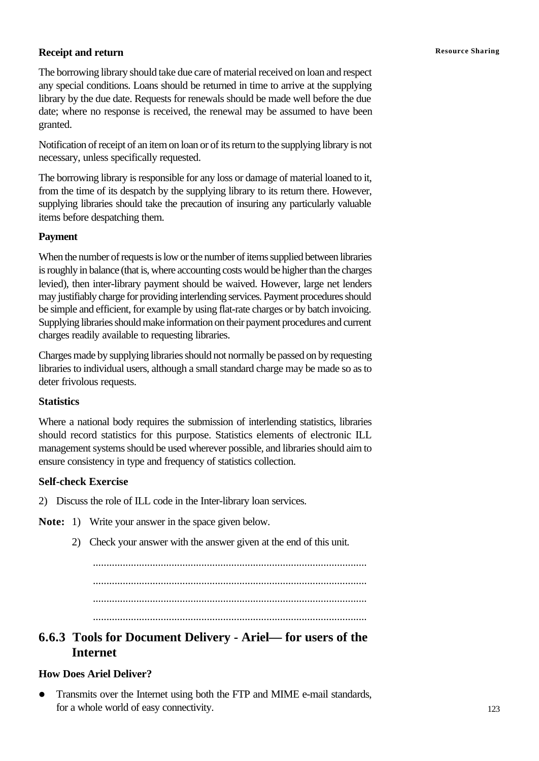### **Receipt and return Resource Sharing**

The borrowing library should take due care of material received on loan and respect any special conditions. Loans should be returned in time to arrive at the supplying library by the due date. Requests for renewals should be made well before the due date; where no response is received, the renewal may be assumed to have been granted.

Notification of receipt of an item on loan or of its return to the supplying library is not necessary, unless specifically requested.

The borrowing library is responsible for any loss or damage of material loaned to it, from the time of its despatch by the supplying library to its return there. However, supplying libraries should take the precaution of insuring any particularly valuable items before despatching them.

#### **Payment**

When the number of requests is low or the number of items supplied between libraries is roughly in balance (that is, where accounting costs would be higher than the charges levied), then inter-library payment should be waived. However, large net lenders may justifiably charge for providing interlending services. Payment procedures should be simple and efficient, for example by using flat-rate charges or by batch invoicing. Supplying libraries should make information on their payment procedures and current charges readily available to requesting libraries.

Charges made by supplying libraries should not normally be passed on by requesting libraries to individual users, although a small standard charge may be made so as to deter frivolous requests.

#### **Statistics**

Where a national body requires the submission of interlending statistics, libraries should record statistics for this purpose. Statistics elements of electronic ILL management systems should be used wherever possible, and libraries should aim to ensure consistency in type and frequency of statistics collection.

### **Self-check Exercise**

2) Discuss the role of ILL code in the Inter-library loan services.

- **Note:** 1) Write your answer in the space given below.
	- 2) Check your answer with the answer given at the end of this unit.

..................................................................................................... ..................................................................................................... ..................................................................................................... .....................................................................................................

### **6.6.3 Tools for Document Delivery - Ariel— for users of the Internet**

### **How Does Ariel Deliver?**

• Transmits over the Internet using both the FTP and MIME e-mail standards, for a whole world of easy connectivity.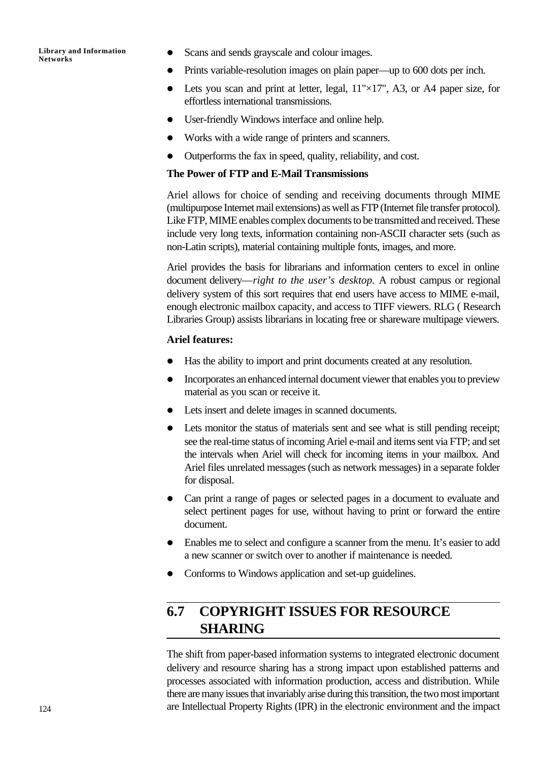- Scans and sends grayscale and colour images.
- Prints variable-resolution images on plain paper—up to 600 dots per inch.
- Lets you scan and print at letter, legal,  $11" \times 17"$ , A3, or A4 paper size, for effortless international transmissions.
- User-friendly Windows interface and online help.
- Works with a wide range of printers and scanners.
- $\bullet$  Outperforms the fax in speed, quality, reliability, and cost.

#### **The Power of FTP and E-Mail Transmissions**

Ariel allows for choice of sending and receiving documents through MIME (multipurpose Internet mail extensions) as well as FTP (Internet file transfer protocol). Like FTP, MIME enables complex documents to be transmitted and received. These include very long texts, information containing non-ASCII character sets (such as non-Latin scripts), material containing multiple fonts, images, and more.

Ariel provides the basis for librarians and information centers to excel in online document delivery—*right to the user's desktop.* A robust campus or regional delivery system of this sort requires that end users have access to MIME e-mail, enough electronic mailbox capacity, and access to TIFF viewers. RLG ( Research Libraries Group) assists librarians in locating free or shareware multipage viewers.

#### **Ariel features:**

- Has the ability to import and print documents created at any resolution.
- Incorporates an enhanced internal document viewer that enables you to preview material as you scan or receive it.
- Lets insert and delete images in scanned documents.
- Lets monitor the status of materials sent and see what is still pending receipt; see the real-time status of incoming Ariel e-mail and items sent via FTP; and set the intervals when Ariel will check for incoming items in your mailbox. And Ariel files unrelated messages (such as network messages) in a separate folder for disposal.
- Can print a range of pages or selected pages in a document to evaluate and select pertinent pages for use, without having to print or forward the entire document.
- Enables me to select and configure a scanner from the menu. It's easier to add a new scanner or switch over to another if maintenance is needed.
- Conforms to Windows application and set-up guidelines.

## **6.7 COPYRIGHT ISSUES FOR RESOURCE SHARING**

The shift from paper-based information systems to integrated electronic document delivery and resource sharing has a strong impact upon established patterns and processes associated with information production, access and distribution. While there are many issues that invariably arise during this transition, the two most important are Intellectual Property Rights (IPR) in the electronic environment and the impact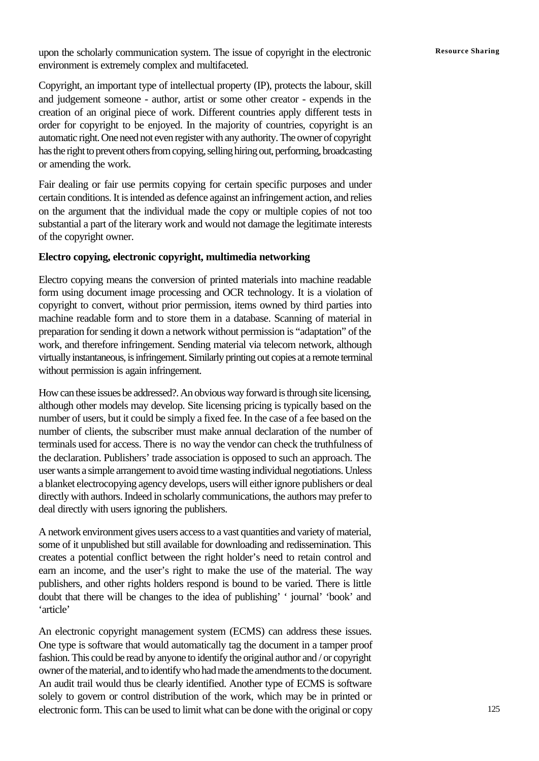upon the scholarly communication system. The issue of copyright in the electronic **Resource Sharing** environment is extremely complex and multifaceted.

Copyright, an important type of intellectual property (IP), protects the labour, skill and judgement someone - author, artist or some other creator - expends in the creation of an original piece of work. Different countries apply different tests in order for copyright to be enjoyed. In the majority of countries, copyright is an automatic right. One need not even register with any authority. The owner of copyright has the right to prevent others from copying, selling hiring out, performing, broadcasting or amending the work.

Fair dealing or fair use permits copying for certain specific purposes and under certain conditions. It is intended as defence against an infringement action, and relies on the argument that the individual made the copy or multiple copies of not too substantial a part of the literary work and would not damage the legitimate interests of the copyright owner.

#### **Electro copying, electronic copyright, multimedia networking**

Electro copying means the conversion of printed materials into machine readable form using document image processing and OCR technology. It is a violation of copyright to convert, without prior permission, items owned by third parties into machine readable form and to store them in a database. Scanning of material in preparation for sending it down a network without permission is "adaptation" of the work, and therefore infringement. Sending material via telecom network, although virtually instantaneous, is infringement. Similarly printing out copies at a remote terminal without permission is again infringement.

How can these issues be addressed?. An obvious way forward is through site licensing, although other models may develop. Site licensing pricing is typically based on the number of users, but it could be simply a fixed fee. In the case of a fee based on the number of clients, the subscriber must make annual declaration of the number of terminals used for access. There is no way the vendor can check the truthfulness of the declaration. Publishers' trade association is opposed to such an approach. The user wants a simple arrangement to avoid time wasting individual negotiations. Unless a blanket electrocopying agency develops, users will either ignore publishers or deal directly with authors. Indeed in scholarly communications, the authors may prefer to deal directly with users ignoring the publishers.

A network environment gives users access to a vast quantities and variety of material, some of it unpublished but still available for downloading and redissemination. This creates a potential conflict between the right holder's need to retain control and earn an income, and the user's right to make the use of the material. The way publishers, and other rights holders respond is bound to be varied. There is little doubt that there will be changes to the idea of publishing' ' journal' 'book' and 'article'

An electronic copyright management system (ECMS) can address these issues. One type is software that would automatically tag the document in a tamper proof fashion. This could be read by anyone to identify the original author and / or copyright owner of the material, and to identify who had made the amendments to the document. An audit trail would thus be clearly identified. Another type of ECMS is software solely to govern or control distribution of the work, which may be in printed or electronic form. This can be used to limit what can be done with the original or copy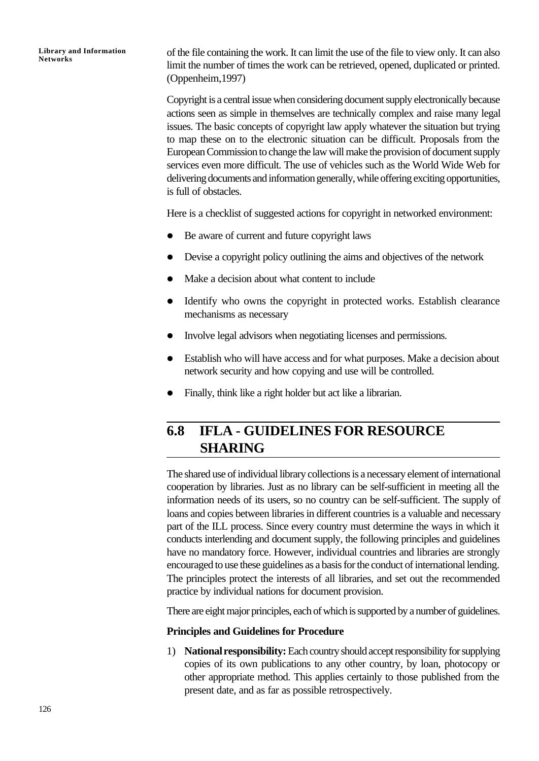of the file containing the work. It can limit the use of the file to view only. It can also limit the number of times the work can be retrieved, opened, duplicated or printed. (Oppenheim,1997)

Copyright is a central issue when considering document supply electronically because actions seen as simple in themselves are technically complex and raise many legal issues. The basic concepts of copyright law apply whatever the situation but trying to map these on to the electronic situation can be difficult. Proposals from the European Commission to change the law will make the provision of document supply services even more difficult. The use of vehicles such as the World Wide Web for delivering documents and information generally, while offering exciting opportunities, is full of obstacles.

Here is a checklist of suggested actions for copyright in networked environment:

- $\bullet$  Be aware of current and future copyright laws
- Devise a copyright policy outlining the aims and objectives of the network
- Make a decision about what content to include
- Identify who owns the copyright in protected works. Establish clearance mechanisms as necessary
- Involve legal advisors when negotiating licenses and permissions.
- Establish who will have access and for what purposes. Make a decision about network security and how copying and use will be controlled.
- Finally, think like a right holder but act like a librarian.

## **6.8 IFLA - GUIDELINES FOR RESOURCE SHARING**

The shared use of individual library collections is a necessary element of international cooperation by libraries. Just as no library can be self-sufficient in meeting all the information needs of its users, so no country can be self-sufficient. The supply of loans and copies between libraries in different countries is a valuable and necessary part of the ILL process. Since every country must determine the ways in which it conducts interlending and document supply, the following principles and guidelines have no mandatory force. However, individual countries and libraries are strongly encouraged to use these guidelines as a basis for the conduct of international lending. The principles protect the interests of all libraries, and set out the recommended practice by individual nations for document provision.

There are eight major principles, each of which is supported by a number of guidelines.

#### **Principles and Guidelines for Procedure**

1) **National responsibility:** Each country should accept responsibility for supplying copies of its own publications to any other country, by loan, photocopy or other appropriate method. This applies certainly to those published from the present date, and as far as possible retrospectively.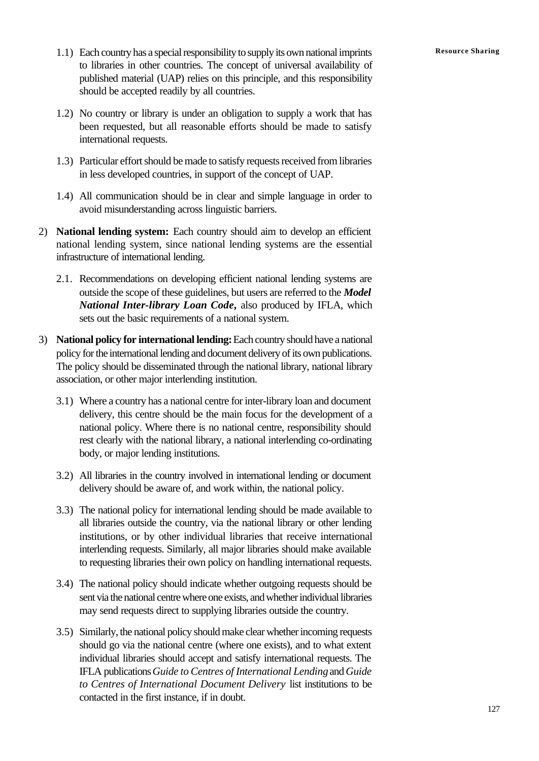- 1.1) Each country has a special responsibility to supply its own national imprints **Resource Sharing** to libraries in other countries. The concept of universal availability of published material (UAP) relies on this principle, and this responsibility should be accepted readily by all countries.
- 1.2) No country or library is under an obligation to supply a work that has been requested, but all reasonable efforts should be made to satisfy international requests.
- 1.3) Particular effort should be made to satisfy requests received from libraries in less developed countries, in support of the concept of UAP.
- 1.4) All communication should be in clear and simple language in order to avoid misunderstanding across linguistic barriers.
- 2) **National lending system:** Each country should aim to develop an efficient national lending system, since national lending systems are the essential infrastructure of international lending.
	- 2.1. Recommendations on developing efficient national lending systems are outside the scope of these guidelines, but users are referred to the *Model National Inter-library Loan Code***,** also produced by IFLA, which sets out the basic requirements of a national system.
- 3) **National policy for international lending:** Each country should have a national policy for the international lending and document delivery of its own publications. The policy should be disseminated through the national library, national library association, or other major interlending institution.
	- 3.1) Where a country has a national centre for inter-library loan and document delivery, this centre should be the main focus for the development of a national policy. Where there is no national centre, responsibility should rest clearly with the national library, a national interlending co-ordinating body, or major lending institutions.
	- 3.2) All libraries in the country involved in international lending or document delivery should be aware of, and work within, the national policy.
	- 3.3) The national policy for international lending should be made available to all libraries outside the country, via the national library or other lending institutions, or by other individual libraries that receive international interlending requests. Similarly, all major libraries should make available to requesting libraries their own policy on handling international requests.
	- 3.4) The national policy should indicate whether outgoing requests should be sent via the national centre where one exists, and whether individual libraries may send requests direct to supplying libraries outside the country.
	- 3.5) Similarly, the national policy should make clear whether incoming requests should go via the national centre (where one exists), and to what extent individual libraries should accept and satisfy international requests. The IFLA publications *Guide to Centres of International Lending* and *Guide to Centres of International Document Delivery* list institutions to be contacted in the first instance, if in doubt.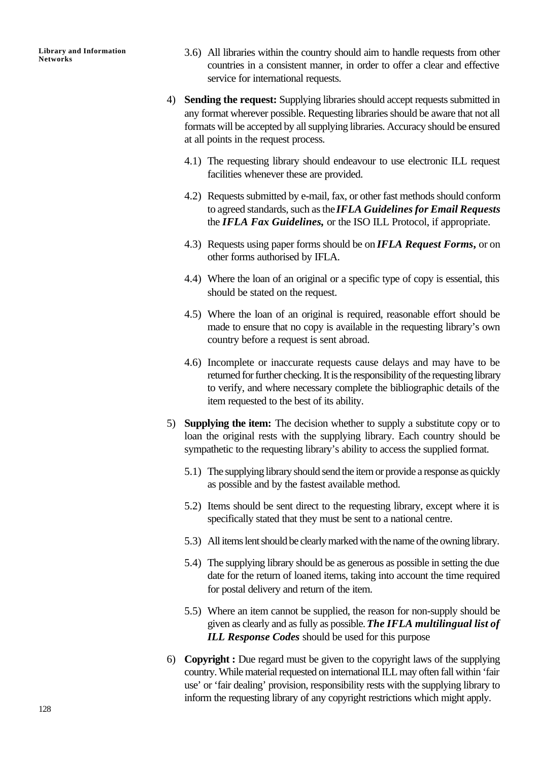- 3.6) All libraries within the country should aim to handle requests from other countries in a consistent manner, in order to offer a clear and effective service for international requests.
- 4) **Sending the request:** Supplying libraries should accept requests submitted in any format wherever possible. Requesting libraries should be aware that not all formats will be accepted by all supplying libraries. Accuracy should be ensured at all points in the request process.
	- 4.1) The requesting library should endeavour to use electronic ILL request facilities whenever these are provided.
	- 4.2) Requests submitted by e-mail, fax, or other fast methods should conform to agreed standards, such as the *IFLA Guidelines for Email Requests* the *IFLA Fax Guidelines,* or the ISO ILL Protocol, if appropriate.
	- 4.3) Requests using paper forms should be on *IFLA Request Forms***,** or on other forms authorised by IFLA.
	- 4.4) Where the loan of an original or a specific type of copy is essential, this should be stated on the request.
	- 4.5) Where the loan of an original is required, reasonable effort should be made to ensure that no copy is available in the requesting library's own country before a request is sent abroad.
	- 4.6) Incomplete or inaccurate requests cause delays and may have to be returned for further checking. It is the responsibility of the requesting library to verify, and where necessary complete the bibliographic details of the item requested to the best of its ability.
- 5) **Supplying the item:** The decision whether to supply a substitute copy or to loan the original rests with the supplying library. Each country should be sympathetic to the requesting library's ability to access the supplied format.
	- 5.1) The supplying library should send the item or provide a response as quickly as possible and by the fastest available method.
	- 5.2) Items should be sent direct to the requesting library, except where it is specifically stated that they must be sent to a national centre.
	- 5.3) All items lent should be clearly marked with the name of the owning library.
	- 5.4) The supplying library should be as generous as possible in setting the due date for the return of loaned items, taking into account the time required for postal delivery and return of the item.
	- 5.5) Where an item cannot be supplied, the reason for non-supply should be given as clearly and as fully as possible. *The IFLA multilingual list of ILL Response Codes* should be used for this purpose
- 6) **Copyright :** Due regard must be given to the copyright laws of the supplying country. While material requested on international ILL may often fall within 'fair use' or 'fair dealing' provision, responsibility rests with the supplying library to inform the requesting library of any copyright restrictions which might apply.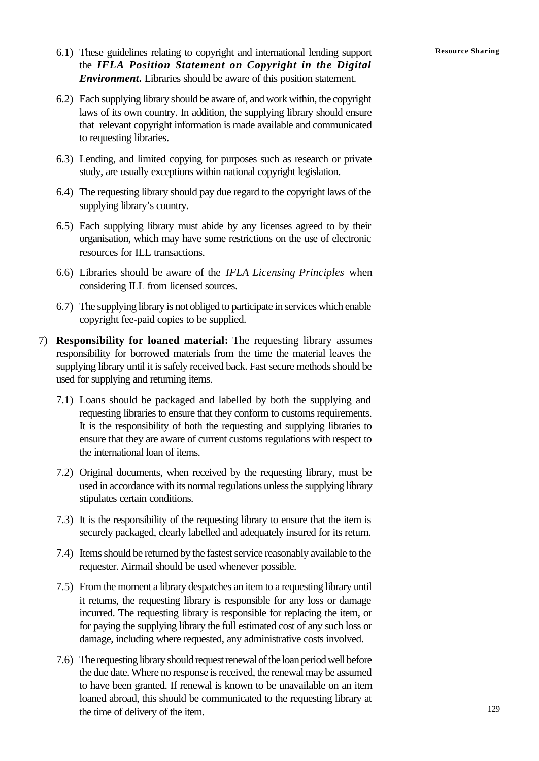- 6.1) These guidelines relating to copyright and international lending support **Resource Sharing** the *IFLA Position Statement on Copyright in the Digital Environment***.** Libraries should be aware of this position statement.
- 6.2) Each supplying library should be aware of, and work within, the copyright laws of its own country. In addition, the supplying library should ensure that relevant copyright information is made available and communicated to requesting libraries.
- 6.3) Lending, and limited copying for purposes such as research or private study, are usually exceptions within national copyright legislation.
- 6.4) The requesting library should pay due regard to the copyright laws of the supplying library's country.
- 6.5) Each supplying library must abide by any licenses agreed to by their organisation, which may have some restrictions on the use of electronic resources for ILL transactions.
- 6.6) Libraries should be aware of the *IFLA Licensing Principles* when considering ILL from licensed sources.
- 6.7) The supplying library is not obliged to participate in services which enable copyright fee-paid copies to be supplied.
- 7) **Responsibility for loaned material:** The requesting library assumes responsibility for borrowed materials from the time the material leaves the supplying library until it is safely received back. Fast secure methods should be used for supplying and returning items.
	- 7.1) Loans should be packaged and labelled by both the supplying and requesting libraries to ensure that they conform to customs requirements. It is the responsibility of both the requesting and supplying libraries to ensure that they are aware of current customs regulations with respect to the international loan of items.
	- 7.2) Original documents, when received by the requesting library, must be used in accordance with its normal regulations unless the supplying library stipulates certain conditions.
	- 7.3) It is the responsibility of the requesting library to ensure that the item is securely packaged, clearly labelled and adequately insured for its return.
	- 7.4) Items should be returned by the fastest service reasonably available to the requester. Airmail should be used whenever possible.
	- 7.5) From the moment a library despatches an item to a requesting library until it returns, the requesting library is responsible for any loss or damage incurred. The requesting library is responsible for replacing the item, or for paying the supplying library the full estimated cost of any such loss or damage, including where requested, any administrative costs involved.
	- 7.6) The requesting library should request renewal of the loan period well before the due date. Where no response is received, the renewal may be assumed to have been granted. If renewal is known to be unavailable on an item loaned abroad, this should be communicated to the requesting library at the time of delivery of the item.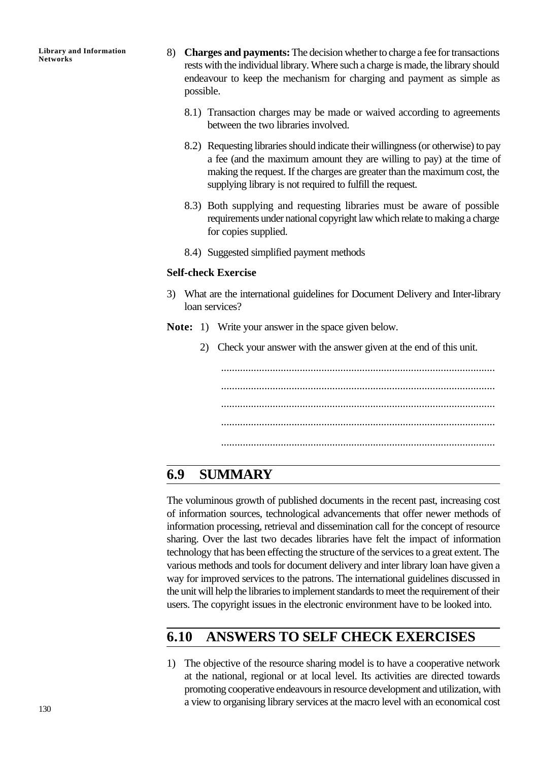- 8) **Charges and payments:** The decision whether to charge a fee for transactions rests with the individual library. Where such a charge is made, the library should endeavour to keep the mechanism for charging and payment as simple as possible.
	- 8.1) Transaction charges may be made or waived according to agreements between the two libraries involved.
	- 8.2) Requesting libraries should indicate their willingness (or otherwise) to pay a fee (and the maximum amount they are willing to pay) at the time of making the request. If the charges are greater than the maximum cost, the supplying library is not required to fulfill the request.
	- 8.3) Both supplying and requesting libraries must be aware of possible requirements under national copyright law which relate to making a charge for copies supplied.
	- 8.4) Suggested simplified payment methods

#### **Self-check Exercise**

- 3) What are the international guidelines for Document Delivery and Inter-library loan services?
- **Note:** 1) Write your answer in the space given below.
	- 2) Check your answer with the answer given at the end of this unit.

..................................................................................................... ..................................................................................................... ..................................................................................................... ..................................................................................................... .....................................................................................................

## **6.9 SUMMARY**

The voluminous growth of published documents in the recent past, increasing cost of information sources, technological advancements that offer newer methods of information processing, retrieval and dissemination call for the concept of resource sharing. Over the last two decades libraries have felt the impact of information technology that has been effecting the structure of the services to a great extent. The various methods and tools for document delivery and inter library loan have given a way for improved services to the patrons. The international guidelines discussed in the unit will help the libraries to implement standards to meet the requirement of their users. The copyright issues in the electronic environment have to be looked into.

## **6.10 ANSWERS TO SELF CHECK EXERCISES**

1) The objective of the resource sharing model is to have a cooperative network at the national, regional or at local level. Its activities are directed towards promoting cooperative endeavours in resource development and utilization, with a view to organising library services at the macro level with an economical cost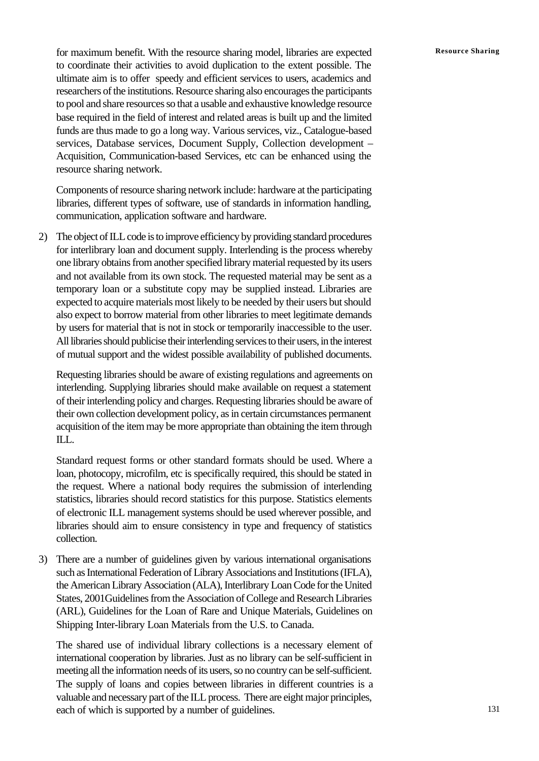for maximum benefit. With the resource sharing model, libraries are expected Resource Sharing to coordinate their activities to avoid duplication to the extent possible. The ultimate aim is to offer speedy and efficient services to users, academics and researchers of the institutions. Resource sharing also encourages the participants to pool and share resources so that a usable and exhaustive knowledge resource base required in the field of interest and related areas is built up and the limited funds are thus made to go a long way. Various services, viz., Catalogue-based services, Database services, Document Supply, Collection development – Acquisition, Communication-based Services, etc can be enhanced using the resource sharing network.

Components of resource sharing network include: hardware at the participating libraries, different types of software, use of standards in information handling, communication, application software and hardware.

2) The object of ILL code is to improve efficiency by providing standard procedures for interlibrary loan and document supply. Interlending is the process whereby one library obtains from another specified library material requested by its users and not available from its own stock. The requested material may be sent as a temporary loan or a substitute copy may be supplied instead. Libraries are expected to acquire materials most likely to be needed by their users but should also expect to borrow material from other libraries to meet legitimate demands by users for material that is not in stock or temporarily inaccessible to the user. All libraries should publicise their interlending services to their users, in the interest of mutual support and the widest possible availability of published documents.

Requesting libraries should be aware of existing regulations and agreements on interlending. Supplying libraries should make available on request a statement of their interlending policy and charges. Requesting libraries should be aware of their own collection development policy, as in certain circumstances permanent acquisition of the item may be more appropriate than obtaining the item through ILL.

Standard request forms or other standard formats should be used. Where a loan, photocopy, microfilm, etc is specifically required, this should be stated in the request. Where a national body requires the submission of interlending statistics, libraries should record statistics for this purpose. Statistics elements of electronic ILL management systems should be used wherever possible, and libraries should aim to ensure consistency in type and frequency of statistics collection.

3) There are a number of guidelines given by various international organisations such as International Federation of Library Associations and Institutions (IFLA), the American Library Association (ALA), Interlibrary Loan Code for the United States, 2001Guidelines from the Association of College and Research Libraries (ARL), Guidelines for the Loan of Rare and Unique Materials, Guidelines on Shipping Inter-library Loan Materials from the U.S. to Canada.

The shared use of individual library collections is a necessary element of international cooperation by libraries. Just as no library can be self-sufficient in meeting all the information needs of its users, so no country can be self-sufficient. The supply of loans and copies between libraries in different countries is a valuable and necessary part of the ILL process. There are eight major principles, each of which is supported by a number of guidelines.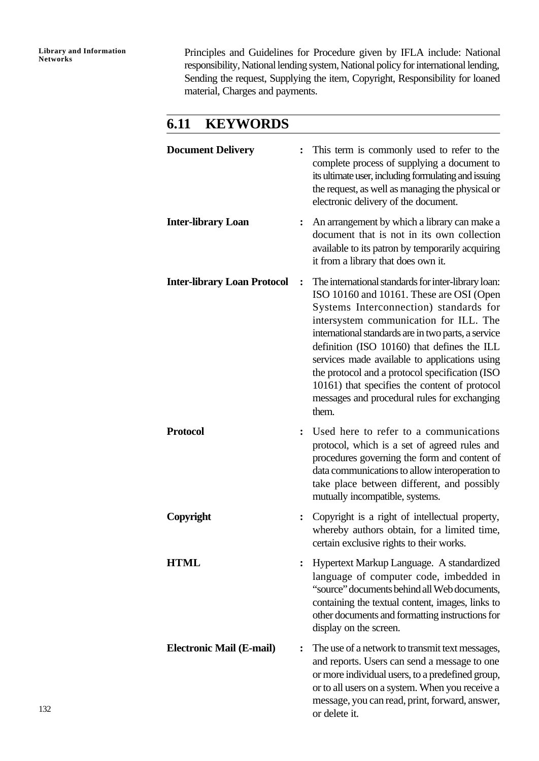Principles and Guidelines for Procedure given by IFLA include: National responsibility, National lending system, National policy for international lending, Sending the request, Supplying the item, Copyright, Responsibility for loaned material, Charges and payments.

## **6.11 KEYWORDS**

| <b>Document Delivery</b>           |                  | This term is commonly used to refer to the<br>complete process of supplying a document to<br>its ultimate user, including formulating and issuing<br>the request, as well as managing the physical or<br>electronic delivery of the document.                                                                                                                                                                                                                                                          |
|------------------------------------|------------------|--------------------------------------------------------------------------------------------------------------------------------------------------------------------------------------------------------------------------------------------------------------------------------------------------------------------------------------------------------------------------------------------------------------------------------------------------------------------------------------------------------|
| <b>Inter-library Loan</b>          |                  | An arrangement by which a library can make a<br>document that is not in its own collection<br>available to its patron by temporarily acquiring<br>it from a library that does own it.                                                                                                                                                                                                                                                                                                                  |
| <b>Inter-library Loan Protocol</b> | $\ddot{\bullet}$ | The international standards for inter-library loan:<br>ISO 10160 and 10161. These are OSI (Open<br>Systems Interconnection) standards for<br>intersystem communication for ILL. The<br>international standards are in two parts, a service<br>definition (ISO 10160) that defines the ILL<br>services made available to applications using<br>the protocol and a protocol specification (ISO<br>10161) that specifies the content of protocol<br>messages and procedural rules for exchanging<br>them. |
| <b>Protocol</b>                    |                  | Used here to refer to a communications<br>protocol, which is a set of agreed rules and<br>procedures governing the form and content of<br>data communications to allow interoperation to<br>take place between different, and possibly<br>mutually incompatible, systems.                                                                                                                                                                                                                              |
| Copyright                          |                  | Copyright is a right of intellectual property,<br>whereby authors obtain, for a limited time,<br>certain exclusive rights to their works.                                                                                                                                                                                                                                                                                                                                                              |
| <b>HTML</b>                        |                  | Hypertext Markup Language. A standardized<br>language of computer code, imbedded in<br>"source" documents behind all Web documents,<br>containing the textual content, images, links to<br>other documents and formatting instructions for<br>display on the screen.                                                                                                                                                                                                                                   |
| <b>Electronic Mail (E-mail)</b>    |                  | The use of a network to transmit text messages,<br>and reports. Users can send a message to one<br>or more individual users, to a predefined group,<br>or to all users on a system. When you receive a<br>message, you can read, print, forward, answer,<br>or delete it.                                                                                                                                                                                                                              |